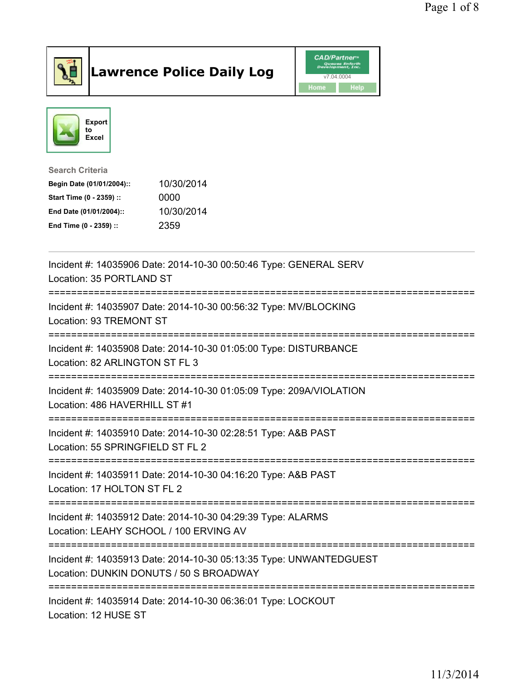

## Lawrence Police Daily Log **Daniel CAD/Partner**





Search Criteria Begin Date (01/01/2004):: 10/30/2014 Start Time (0 - 2359) :: 0000 End Date (01/01/2004):: 10/30/2014 End Time (0 - 2359) :: 2359

| Incident #: 14035906 Date: 2014-10-30 00:50:46 Type: GENERAL SERV<br>Location: 35 PORTLAND ST                                                    |
|--------------------------------------------------------------------------------------------------------------------------------------------------|
| Incident #: 14035907 Date: 2014-10-30 00:56:32 Type: MV/BLOCKING<br>Location: 93 TREMONT ST                                                      |
| Incident #: 14035908 Date: 2014-10-30 01:05:00 Type: DISTURBANCE<br>Location: 82 ARLINGTON ST FL 3                                               |
| Incident #: 14035909 Date: 2014-10-30 01:05:09 Type: 209A/VIOLATION<br>Location: 486 HAVERHILL ST #1                                             |
| Incident #: 14035910 Date: 2014-10-30 02:28:51 Type: A&B PAST<br>Location: 55 SPRINGFIELD ST FL 2<br>=========================                   |
| Incident #: 14035911 Date: 2014-10-30 04:16:20 Type: A&B PAST<br>Location: 17 HOLTON ST FL 2<br>-----------------------------------              |
| Incident #: 14035912 Date: 2014-10-30 04:29:39 Type: ALARMS<br>Location: LEAHY SCHOOL / 100 ERVING AV                                            |
| Incident #: 14035913 Date: 2014-10-30 05:13:35 Type: UNWANTEDGUEST<br>Location: DUNKIN DONUTS / 50 S BROADWAY<br>:============================== |
| Incident #: 14035914 Date: 2014-10-30 06:36:01 Type: LOCKOUT<br>Location: 12 HUSE ST                                                             |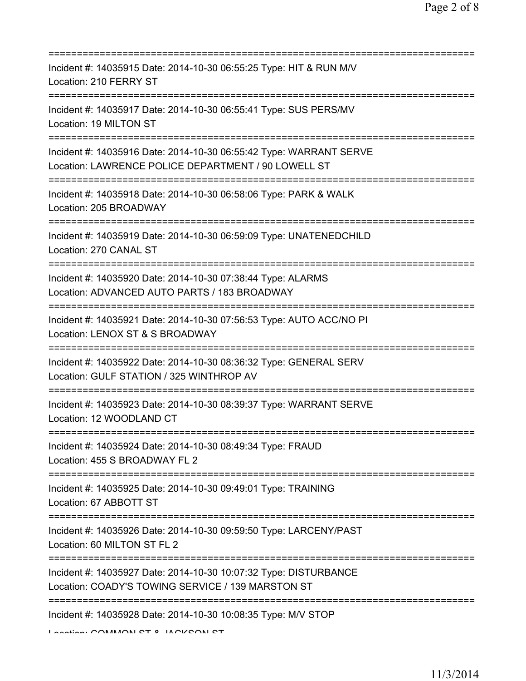| Incident #: 14035915 Date: 2014-10-30 06:55:25 Type: HIT & RUN M/V<br>Location: 210 FERRY ST                                                                     |
|------------------------------------------------------------------------------------------------------------------------------------------------------------------|
| Incident #: 14035917 Date: 2014-10-30 06:55:41 Type: SUS PERS/MV<br>Location: 19 MILTON ST                                                                       |
| Incident #: 14035916 Date: 2014-10-30 06:55:42 Type: WARRANT SERVE<br>Location: LAWRENCE POLICE DEPARTMENT / 90 LOWELL ST                                        |
| Incident #: 14035918 Date: 2014-10-30 06:58:06 Type: PARK & WALK<br>Location: 205 BROADWAY                                                                       |
| Incident #: 14035919 Date: 2014-10-30 06:59:09 Type: UNATENEDCHILD<br>Location: 270 CANAL ST                                                                     |
| Incident #: 14035920 Date: 2014-10-30 07:38:44 Type: ALARMS<br>Location: ADVANCED AUTO PARTS / 183 BROADWAY                                                      |
| Incident #: 14035921 Date: 2014-10-30 07:56:53 Type: AUTO ACC/NO PI<br>Location: LENOX ST & S BROADWAY                                                           |
| Incident #: 14035922 Date: 2014-10-30 08:36:32 Type: GENERAL SERV<br>Location: GULF STATION / 325 WINTHROP AV                                                    |
| Incident #: 14035923 Date: 2014-10-30 08:39:37 Type: WARRANT SERVE<br>Location: 12 WOODLAND CT                                                                   |
| Incident #: 14035924 Date: 2014-10-30 08:49:34 Type: FRAUD<br>Location: 455 S BROADWAY FL 2                                                                      |
| Incident #: 14035925 Date: 2014-10-30 09:49:01 Type: TRAINING<br>Location: 67 ABBOTT ST                                                                          |
| Incident #: 14035926 Date: 2014-10-30 09:59:50 Type: LARCENY/PAST<br>Location: 60 MILTON ST FL 2                                                                 |
| ======================<br>=============<br>Incident #: 14035927 Date: 2014-10-30 10:07:32 Type: DISTURBANCE<br>Location: COADY'S TOWING SERVICE / 139 MARSTON ST |
| Incident #: 14035928 Date: 2014-10-30 10:08:35 Type: M/V STOP                                                                                                    |

Location: COMMONI CT & IACKCONI CT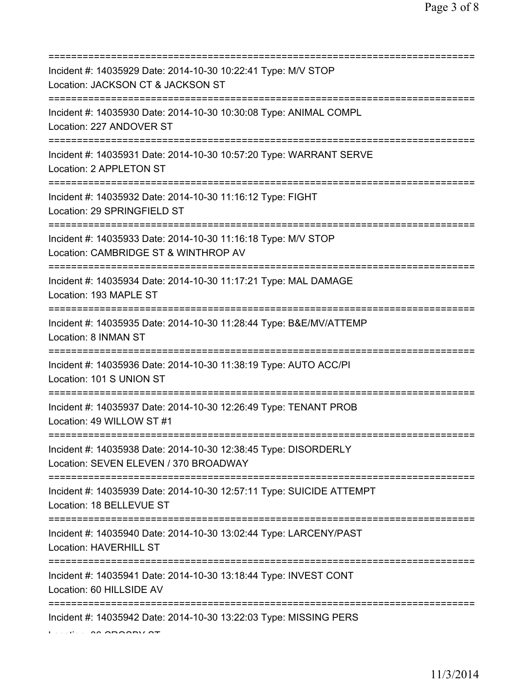| Incident #: 14035929 Date: 2014-10-30 10:22:41 Type: M/V STOP<br>Location: JACKSON CT & JACKSON ST                               |
|----------------------------------------------------------------------------------------------------------------------------------|
| Incident #: 14035930 Date: 2014-10-30 10:30:08 Type: ANIMAL COMPL<br>Location: 227 ANDOVER ST                                    |
| Incident #: 14035931 Date: 2014-10-30 10:57:20 Type: WARRANT SERVE<br>Location: 2 APPLETON ST                                    |
| Incident #: 14035932 Date: 2014-10-30 11:16:12 Type: FIGHT<br>Location: 29 SPRINGFIELD ST                                        |
| Incident #: 14035933 Date: 2014-10-30 11:16:18 Type: M/V STOP<br>Location: CAMBRIDGE ST & WINTHROP AV                            |
| Incident #: 14035934 Date: 2014-10-30 11:17:21 Type: MAL DAMAGE<br>Location: 193 MAPLE ST<br>===============================     |
| Incident #: 14035935 Date: 2014-10-30 11:28:44 Type: B&E/MV/ATTEMP<br>Location: 8 INMAN ST<br>================================== |
| Incident #: 14035936 Date: 2014-10-30 11:38:19 Type: AUTO ACC/PI<br>Location: 101 S UNION ST<br>================================ |
| Incident #: 14035937 Date: 2014-10-30 12:26:49 Type: TENANT PROB<br>Location: 49 WILLOW ST #1                                    |
| Incident #: 14035938 Date: 2014-10-30 12:38:45 Type: DISORDERLY<br>Location: SEVEN ELEVEN / 370 BROADWAY                         |
| Incident #: 14035939 Date: 2014-10-30 12:57:11 Type: SUICIDE ATTEMPT<br>Location: 18 BELLEVUE ST                                 |
| Incident #: 14035940 Date: 2014-10-30 13:02:44 Type: LARCENY/PAST<br>Location: HAVERHILL ST                                      |
| Incident #: 14035941 Date: 2014-10-30 13:18:44 Type: INVEST CONT<br>Location: 60 HILLSIDE AV                                     |
| Incident #: 14035942 Date: 2014-10-30 13:22:03 Type: MISSING PERS                                                                |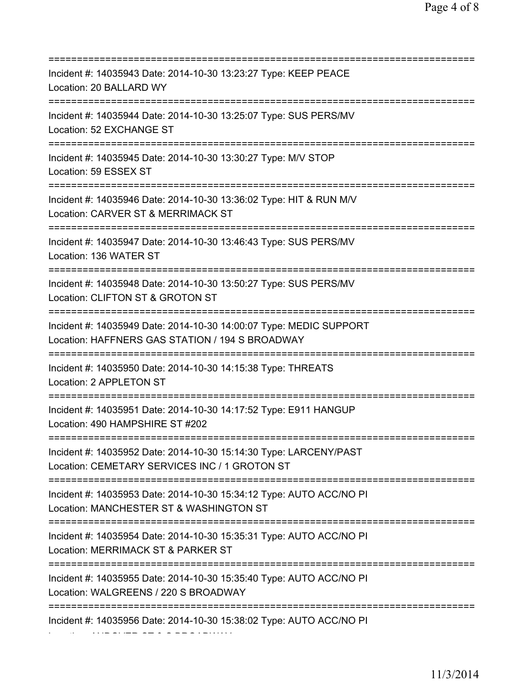=========================================================================== Incident #: 14035943 Date: 2014-10-30 13:23:27 Type: KEEP PEACE Location: 20 BALLARD WY =========================================================================== Incident #: 14035944 Date: 2014-10-30 13:25:07 Type: SUS PERS/MV Location: 52 EXCHANGE ST =========================================================================== Incident #: 14035945 Date: 2014-10-30 13:30:27 Type: M/V STOP Location: 59 ESSEX ST =========================================================================== Incident #: 14035946 Date: 2014-10-30 13:36:02 Type: HIT & RUN M/V Location: CARVER ST & MERRIMACK ST =========================================================================== Incident #: 14035947 Date: 2014-10-30 13:46:43 Type: SUS PERS/MV Location: 136 WATER ST =========================================================================== Incident #: 14035948 Date: 2014-10-30 13:50:27 Type: SUS PERS/MV Location: CLIFTON ST & GROTON ST =========================================================================== Incident #: 14035949 Date: 2014-10-30 14:00:07 Type: MEDIC SUPPORT Location: HAFFNERS GAS STATION / 194 S BROADWAY =========================================================================== Incident #: 14035950 Date: 2014-10-30 14:15:38 Type: THREATS Location: 2 APPLETON ST =========================================================================== Incident #: 14035951 Date: 2014-10-30 14:17:52 Type: E911 HANGUP Location: 490 HAMPSHIRE ST #202 =========================================================================== Incident #: 14035952 Date: 2014-10-30 15:14:30 Type: LARCENY/PAST Location: CEMETARY SERVICES INC / 1 GROTON ST =========================================================================== Incident #: 14035953 Date: 2014-10-30 15:34:12 Type: AUTO ACC/NO PI Location: MANCHESTER ST & WASHINGTON ST =========================================================================== Incident #: 14035954 Date: 2014-10-30 15:35:31 Type: AUTO ACC/NO PI Location: MERRIMACK ST & PARKER ST =========================================================================== Incident #: 14035955 Date: 2014-10-30 15:35:40 Type: AUTO ACC/NO PI Location: WALGREENS / 220 S BROADWAY =========================================================================== Incident #: 14035956 Date: 2014-10-30 15:38:02 Type: AUTO ACC/NO PI Location: ANDOVER ST & S BROADWAY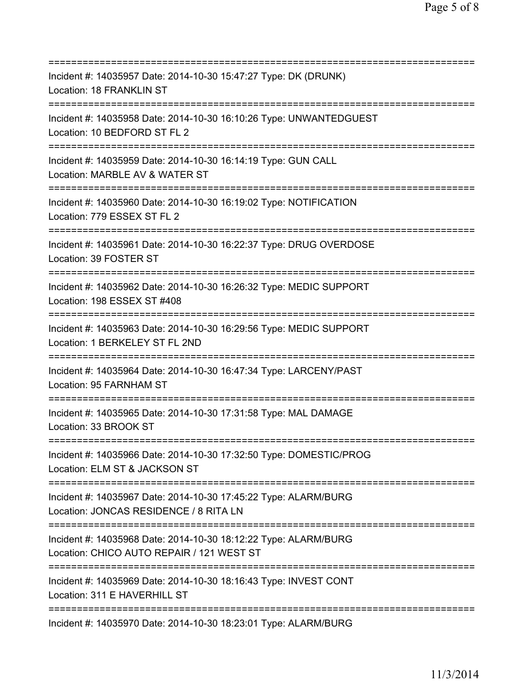| Incident #: 14035957 Date: 2014-10-30 15:47:27 Type: DK (DRUNK)<br>Location: 18 FRANKLIN ST                                              |
|------------------------------------------------------------------------------------------------------------------------------------------|
| Incident #: 14035958 Date: 2014-10-30 16:10:26 Type: UNWANTEDGUEST<br>Location: 10 BEDFORD ST FL 2<br>=======================            |
| Incident #: 14035959 Date: 2014-10-30 16:14:19 Type: GUN CALL<br>Location: MARBLE AV & WATER ST<br>===================================== |
| Incident #: 14035960 Date: 2014-10-30 16:19:02 Type: NOTIFICATION<br>Location: 779 ESSEX ST FL 2                                         |
| Incident #: 14035961 Date: 2014-10-30 16:22:37 Type: DRUG OVERDOSE<br>Location: 39 FOSTER ST<br>==============================           |
| Incident #: 14035962 Date: 2014-10-30 16:26:32 Type: MEDIC SUPPORT<br>Location: 198 ESSEX ST #408                                        |
| Incident #: 14035963 Date: 2014-10-30 16:29:56 Type: MEDIC SUPPORT<br>Location: 1 BERKELEY ST FL 2ND                                     |
| Incident #: 14035964 Date: 2014-10-30 16:47:34 Type: LARCENY/PAST<br>Location: 95 FARNHAM ST                                             |
| Incident #: 14035965 Date: 2014-10-30 17:31:58 Type: MAL DAMAGE<br>Location: 33 BROOK ST                                                 |
| Incident #: 14035966 Date: 2014-10-30 17:32:50 Type: DOMESTIC/PROG<br>Location: ELM ST & JACKSON ST                                      |
| Incident #: 14035967 Date: 2014-10-30 17:45:22 Type: ALARM/BURG<br>Location: JONCAS RESIDENCE / 8 RITA LN                                |
| Incident #: 14035968 Date: 2014-10-30 18:12:22 Type: ALARM/BURG<br>Location: CHICO AUTO REPAIR / 121 WEST ST                             |
| Incident #: 14035969 Date: 2014-10-30 18:16:43 Type: INVEST CONT<br>Location: 311 E HAVERHILL ST                                         |
| Incident #: 14035970 Date: 2014-10-30 18:23:01 Type: ALARM/BURG                                                                          |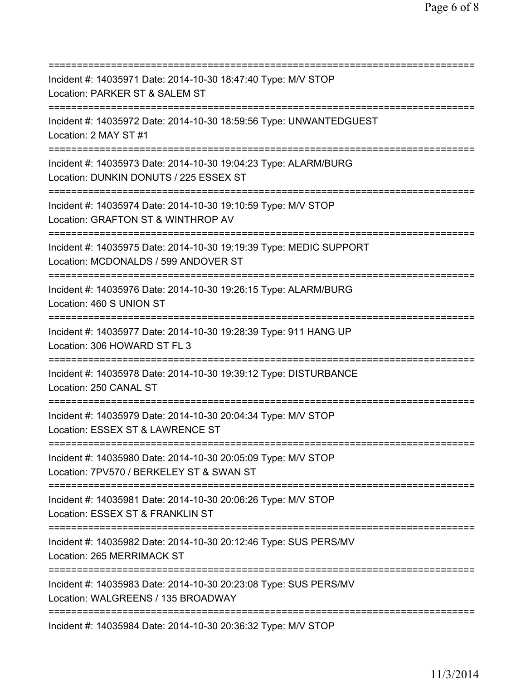=========================================================================== Incident #: 14035971 Date: 2014-10-30 18:47:40 Type: M/V STOP Location: PARKER ST & SALEM ST =========================================================================== Incident #: 14035972 Date: 2014-10-30 18:59:56 Type: UNWANTEDGUEST Location: 2 MAY ST #1 =========================================================================== Incident #: 14035973 Date: 2014-10-30 19:04:23 Type: ALARM/BURG Location: DUNKIN DONUTS / 225 ESSEX ST =========================================================================== Incident #: 14035974 Date: 2014-10-30 19:10:59 Type: M/V STOP Location: GRAFTON ST & WINTHROP AV =========================================================================== Incident #: 14035975 Date: 2014-10-30 19:19:39 Type: MEDIC SUPPORT Location: MCDONALDS / 599 ANDOVER ST =========================================================================== Incident #: 14035976 Date: 2014-10-30 19:26:15 Type: ALARM/BURG Location: 460 S UNION ST =========================================================================== Incident #: 14035977 Date: 2014-10-30 19:28:39 Type: 911 HANG UP Location: 306 HOWARD ST FL 3 =========================================================================== Incident #: 14035978 Date: 2014-10-30 19:39:12 Type: DISTURBANCE Location: 250 CANAL ST =========================================================================== Incident #: 14035979 Date: 2014-10-30 20:04:34 Type: M/V STOP Location: ESSEX ST & LAWRENCE ST =========================================================================== Incident #: 14035980 Date: 2014-10-30 20:05:09 Type: M/V STOP Location: 7PV570 / BERKELEY ST & SWAN ST =========================================================================== Incident #: 14035981 Date: 2014-10-30 20:06:26 Type: M/V STOP Location: ESSEX ST & FRANKLIN ST =========================================================================== Incident #: 14035982 Date: 2014-10-30 20:12:46 Type: SUS PERS/MV Location: 265 MERRIMACK ST =========================================================================== Incident #: 14035983 Date: 2014-10-30 20:23:08 Type: SUS PERS/MV Location: WALGREENS / 135 BROADWAY =========================================================================== Incident #: 14035984 Date: 2014-10-30 20:36:32 Type: M/V STOP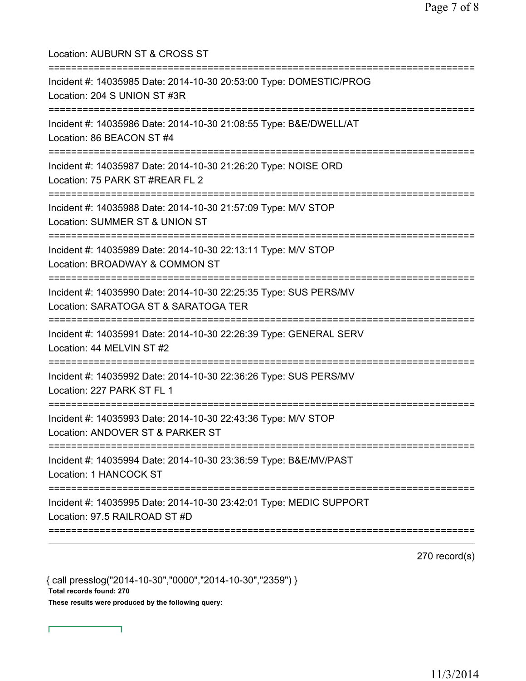| Location: AUBURN ST & CROSS ST                                                                                                       |
|--------------------------------------------------------------------------------------------------------------------------------------|
| Incident #: 14035985 Date: 2014-10-30 20:53:00 Type: DOMESTIC/PROG<br>Location: 204 S UNION ST #3R                                   |
| Incident #: 14035986 Date: 2014-10-30 21:08:55 Type: B&E/DWELL/AT<br>Location: 86 BEACON ST #4<br>----------------------------       |
| Incident #: 14035987 Date: 2014-10-30 21:26:20 Type: NOISE ORD<br>Location: 75 PARK ST #REAR FL 2                                    |
| Incident #: 14035988 Date: 2014-10-30 21:57:09 Type: M/V STOP<br>Location: SUMMER ST & UNION ST                                      |
| Incident #: 14035989 Date: 2014-10-30 22:13:11 Type: M/V STOP<br>Location: BROADWAY & COMMON ST                                      |
| Incident #: 14035990 Date: 2014-10-30 22:25:35 Type: SUS PERS/MV<br>Location: SARATOGA ST & SARATOGA TER                             |
| Incident #: 14035991 Date: 2014-10-30 22:26:39 Type: GENERAL SERV<br>Location: 44 MELVIN ST #2                                       |
| Incident #: 14035992 Date: 2014-10-30 22:36:26 Type: SUS PERS/MV<br>Location: 227 PARK ST FL 1                                       |
| Incident #: 14035993 Date: 2014-10-30 22:43:36 Type: M/V STOP<br>Location: ANDOVER ST & PARKER ST<br>=============================== |
| Incident #: 14035994 Date: 2014-10-30 23:36:59 Type: B&E/MV/PAST<br>Location: 1 HANCOCK ST                                           |
| Incident #: 14035995 Date: 2014-10-30 23:42:01 Type: MEDIC SUPPORT<br>Location: 97.5 RAILROAD ST #D                                  |
|                                                                                                                                      |

270 record(s)

{ call presslog("2014-10-30","0000","2014-10-30","2359") } Total records found: 270 These results were produced by the following query:

٦

Г